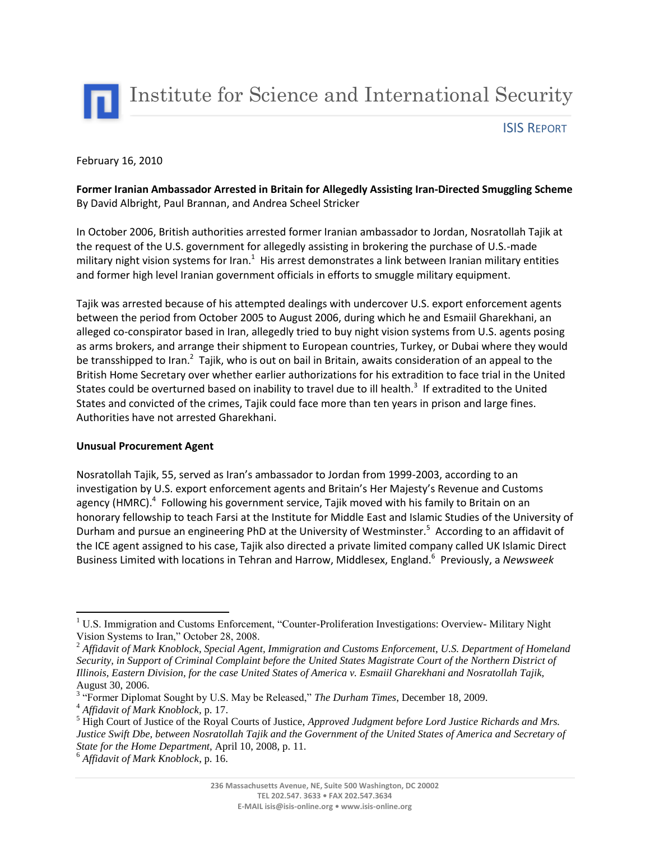

ISIS REPORT

## February 16, 2010

# **Former Iranian Ambassador Arrested in Britain for Allegedly Assisting Iran-Directed Smuggling Scheme** By David Albright, Paul Brannan, and Andrea Scheel Stricker

In October 2006, British authorities arrested former Iranian ambassador to Jordan, Nosratollah Tajik at the request of the U.S. government for allegedly assisting in brokering the purchase of U.S.-made military night vision systems for Iran. $^1$  His arrest demonstrates a link between Iranian military entities and former high level Iranian government officials in efforts to smuggle military equipment.

Tajik was arrested because of his attempted dealings with undercover U.S. export enforcement agents between the period from October 2005 to August 2006, during which he and Esmaiil Gharekhani, an alleged co-conspirator based in Iran, allegedly tried to buy night vision systems from U.S. agents posing as arms brokers, and arrange their shipment to European countries, Turkey, or Dubai where they would be transshipped to Iran.<sup>2</sup> Tajik, who is out on bail in Britain, awaits consideration of an appeal to the British Home Secretary over whether earlier authorizations for his extradition to face trial in the United States could be overturned based on inability to travel due to ill health.<sup>3</sup> If extradited to the United States and convicted of the crimes, Tajik could face more than ten years in prison and large fines. Authorities have not arrested Gharekhani.

## **Unusual Procurement Agent**

Nosratollah Tajik, 55, served as Iran's ambassador to Jordan from 1999-2003, according to an investigation by U.S. export enforcement agents and Britain's Her Majesty's Revenue and Customs agency (HMRC).<sup>4</sup> Following his government service, Tajik moved with his family to Britain on an honorary fellowship to teach Farsi at the Institute for Middle East and Islamic Studies of the University of Durham and pursue an engineering PhD at the University of Westminster.<sup>5</sup> According to an affidavit of the ICE agent assigned to his case, Tajik also directed a private limited company called UK Islamic Direct Business Limited with locations in Tehran and Harrow, Middlesex, England.<sup>6</sup> Previously, a *Newsweek*

 $\overline{a}$ 

<sup>&</sup>lt;sup>1</sup> U.S. Immigration and Customs Enforcement, "Counter-Proliferation Investigations: Overview- Military Night Vision Systems to Iran," October 28, 2008.

<sup>2</sup> *Affidavit of Mark Knoblock, Special Agent, Immigration and Customs Enforcement, U.S. Department of Homeland Security, in Support of Criminal Complaint before the United States Magistrate Court of the Northern District of Illinois, Eastern Division, for the case United States of America v. Esmaiil Gharekhani and Nosratollah Tajik,*  August 30, 2006.

<sup>&</sup>lt;sup>3</sup> "Former Diplomat Sought by U.S. May be Released," *The Durham Times*, December 18, 2009.

<sup>4</sup> *Affidavit of Mark Knoblock,* p. 17.

<sup>5</sup> High Court of Justice of the Royal Courts of Justice, *Approved Judgment before Lord Justice Richards and Mrs. Justice Swift Dbe, between Nosratollah Tajik and the Government of the United States of America and Secretary of State for the Home Department,* April 10, 2008, p. 11.

<sup>6</sup> *Affidavit of Mark Knoblock*, p. 16.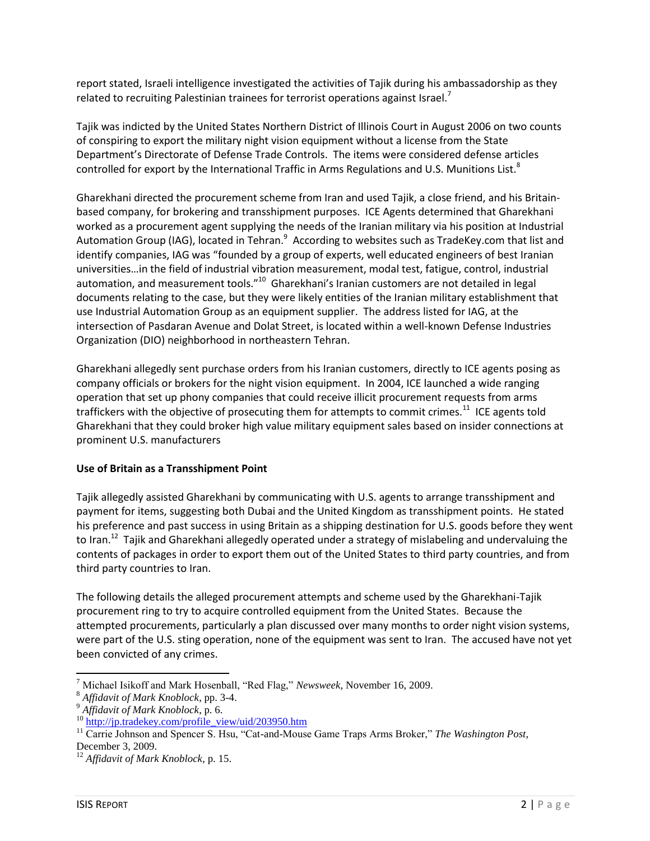report stated, Israeli intelligence investigated the activities of Tajik during his ambassadorship as they related to recruiting Palestinian trainees for terrorist operations against Israel.<sup>7</sup>

Tajik was indicted by the United States Northern District of Illinois Court in August 2006 on two counts of conspiring to export the military night vision equipment without a license from the State Department's Directorate of Defense Trade Controls. The items were considered defense articles controlled for export by the International Traffic in Arms Regulations and U.S. Munitions List.<sup>8</sup>

Gharekhani directed the procurement scheme from Iran and used Tajik, a close friend, and his Britainbased company, for brokering and transshipment purposes. ICE Agents determined that Gharekhani worked as a procurement agent supplying the needs of the Iranian military via his position at Industrial Automation Group (IAG), located in Tehran.<sup>9</sup> According to websites such as TradeKey.com that list and identify companies, IAG was "founded by a group of experts, well educated engineers of best Iranian universities…in the field of industrial vibration measurement, modal test, fatigue, control, industrial automation, and measurement tools."<sup>10</sup> Gharekhani's Iranian customers are not detailed in legal documents relating to the case, but they were likely entities of the Iranian military establishment that use Industrial Automation Group as an equipment supplier. The address listed for IAG, at the intersection of Pasdaran Avenue and Dolat Street, is located within a well-known Defense Industries Organization (DIO) neighborhood in northeastern Tehran.

Gharekhani allegedly sent purchase orders from his Iranian customers, directly to ICE agents posing as company officials or brokers for the night vision equipment. In 2004, ICE launched a wide ranging operation that set up phony companies that could receive illicit procurement requests from arms traffickers with the objective of prosecuting them for attempts to commit crimes.<sup>11</sup> ICE agents told Gharekhani that they could broker high value military equipment sales based on insider connections at prominent U.S. manufacturers

# **Use of Britain as a Transshipment Point**

Tajik allegedly assisted Gharekhani by communicating with U.S. agents to arrange transshipment and payment for items, suggesting both Dubai and the United Kingdom as transshipment points. He stated his preference and past success in using Britain as a shipping destination for U.S. goods before they went to Iran.<sup>12</sup> Tajik and Gharekhani allegedly operated under a strategy of mislabeling and undervaluing the contents of packages in order to export them out of the United States to third party countries, and from third party countries to Iran.

The following details the alleged procurement attempts and scheme used by the Gharekhani-Tajik procurement ring to try to acquire controlled equipment from the United States. Because the attempted procurements, particularly a plan discussed over many months to order night vision systems, were part of the U.S. sting operation, none of the equipment was sent to Iran. The accused have not yet been convicted of any crimes.

 $\overline{\phantom{a}}$ 

<sup>7</sup> Michael Isikoff and Mark Hosenball, "Red Flag," *Newsweek*, November 16, 2009.

<sup>8</sup> *Affidavit of Mark Knoblock*, pp. 3-4.

<sup>9</sup> *Affidavit of Mark Knoblock*, p. 6.

 $^{10}$  [http://jp.tradekey.com/profile\\_view/uid/203950.htm](http://jp.tradekey.com/profile_view/uid/203950.htm)

<sup>&</sup>lt;sup>11</sup> Carrie Johnson and Spencer S. Hsu, "Cat-and-Mouse Game Traps Arms Broker," The Washington Post, December 3, 2009.

<sup>12</sup> *Affidavit of Mark Knoblock*, p. 15.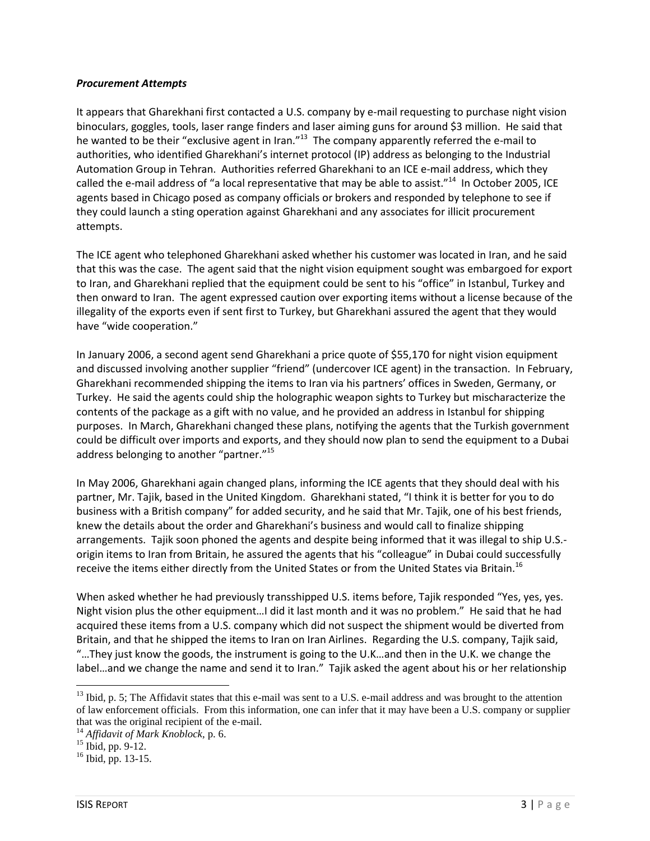#### *Procurement Attempts*

It appears that Gharekhani first contacted a U.S. company by e-mail requesting to purchase night vision binoculars, goggles, tools, laser range finders and laser aiming guns for around \$3 million. He said that he wanted to be their "exclusive agent in Iran."<sup>13</sup> The company apparently referred the e-mail to authorities, who identified Gharekhani's internet protocol (IP) address as belonging to the Industrial Automation Group in Tehran. Authorities referred Gharekhani to an ICE e-mail address, which they called the e-mail address of "a local representative that may be able to assist."<sup>14</sup> In October 2005, ICE agents based in Chicago posed as company officials or brokers and responded by telephone to see if they could launch a sting operation against Gharekhani and any associates for illicit procurement attempts.

The ICE agent who telephoned Gharekhani asked whether his customer was located in Iran, and he said that this was the case. The agent said that the night vision equipment sought was embargoed for export to Iran, and Gharekhani replied that the equipment could be sent to his "office" in Istanbul, Turkey and then onward to Iran. The agent expressed caution over exporting items without a license because of the illegality of the exports even if sent first to Turkey, but Gharekhani assured the agent that they would have "wide cooperation."

In January 2006, a second agent send Gharekhani a price quote of \$55,170 for night vision equipment and discussed involving another supplier "friend" (undercover ICE agent) in the transaction. In February, Gharekhani recommended shipping the items to Iran via his partners' offices in Sweden, Germany, or Turkey. He said the agents could ship the holographic weapon sights to Turkey but mischaracterize the contents of the package as a gift with no value, and he provided an address in Istanbul for shipping purposes. In March, Gharekhani changed these plans, notifying the agents that the Turkish government could be difficult over imports and exports, and they should now plan to send the equipment to a Dubai address belonging to another "partner."<sup>15</sup>

In May 2006, Gharekhani again changed plans, informing the ICE agents that they should deal with his partner, Mr. Tajik, based in the United Kingdom. Gharekhani stated, "I think it is better for you to do business with a British company" for added security, and he said that Mr. Tajik, one of his best friends, knew the details about the order and Gharekhani's business and would call to finalize shipping arrangements. Tajik soon phoned the agents and despite being informed that it was illegal to ship U.S. origin items to Iran from Britain, he assured the agents that his "colleague" in Dubai could successfully receive the items either directly from the United States or from the United States via Britain.<sup>16</sup>

When asked whether he had previously transshipped U.S. items before, Tajik responded "Yes, yes, yes. Night vision plus the other equipment…I did it last month and it was no problem." He said that he had acquired these items from a U.S. company which did not suspect the shipment would be diverted from Britain, and that he shipped the items to Iran on Iran Airlines. Regarding the U.S. company, Tajik said, "…They just know the goods, the instrument is going to the U.K…and then in the U.K. we change the label…and we change the name and send it to Iran." Tajik asked the agent about his or her relationship

l

 $<sup>13</sup>$  Ibid, p. 5; The Affidavit states that this e-mail was sent to a U.S. e-mail address and was brought to the attention</sup> of law enforcement officials. From this information, one can infer that it may have been a U.S. company or supplier that was the original recipient of the e-mail.

<sup>14</sup> *Affidavit of Mark Knoblock,* p. 6.

 $15$  Ibid, pp. 9-12.

 $^{16}$  Ibid, pp. 13-15.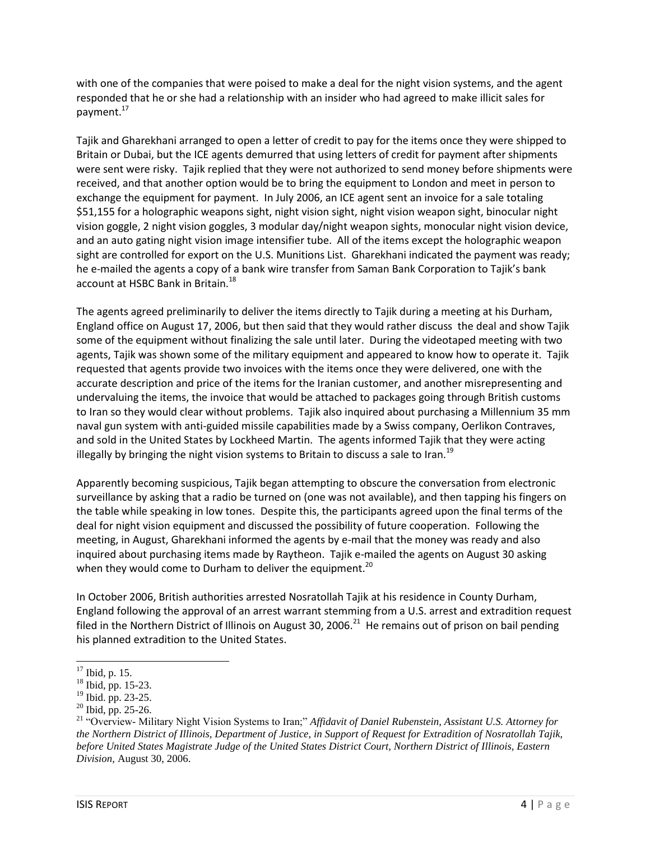with one of the companies that were poised to make a deal for the night vision systems, and the agent responded that he or she had a relationship with an insider who had agreed to make illicit sales for payment.<sup>17</sup>

Tajik and Gharekhani arranged to open a letter of credit to pay for the items once they were shipped to Britain or Dubai, but the ICE agents demurred that using letters of credit for payment after shipments were sent were risky. Tajik replied that they were not authorized to send money before shipments were received, and that another option would be to bring the equipment to London and meet in person to exchange the equipment for payment. In July 2006, an ICE agent sent an invoice for a sale totaling \$51,155 for a holographic weapons sight, night vision sight, night vision weapon sight, binocular night vision goggle, 2 night vision goggles, 3 modular day/night weapon sights, monocular night vision device, and an auto gating night vision image intensifier tube. All of the items except the holographic weapon sight are controlled for export on the U.S. Munitions List. Gharekhani indicated the payment was ready; he e-mailed the agents a copy of a bank wire transfer from Saman Bank Corporation to Tajik's bank account at HSBC Bank in Britain. $^{18}$ 

The agents agreed preliminarily to deliver the items directly to Tajik during a meeting at his Durham, England office on August 17, 2006, but then said that they would rather discuss the deal and show Tajik some of the equipment without finalizing the sale until later. During the videotaped meeting with two agents, Tajik was shown some of the military equipment and appeared to know how to operate it. Tajik requested that agents provide two invoices with the items once they were delivered, one with the accurate description and price of the items for the Iranian customer, and another misrepresenting and undervaluing the items, the invoice that would be attached to packages going through British customs to Iran so they would clear without problems. Tajik also inquired about purchasing a Millennium 35 mm naval gun system with anti-guided missile capabilities made by a Swiss company, Oerlikon Contraves, and sold in the United States by Lockheed Martin. The agents informed Tajik that they were acting illegally by bringing the night vision systems to Britain to discuss a sale to Iran.<sup>19</sup>

Apparently becoming suspicious, Tajik began attempting to obscure the conversation from electronic surveillance by asking that a radio be turned on (one was not available), and then tapping his fingers on the table while speaking in low tones. Despite this, the participants agreed upon the final terms of the deal for night vision equipment and discussed the possibility of future cooperation. Following the meeting, in August, Gharekhani informed the agents by e-mail that the money was ready and also inquired about purchasing items made by Raytheon. Tajik e-mailed the agents on August 30 asking when they would come to Durham to deliver the equipment.<sup>20</sup>

In October 2006, British authorities arrested Nosratollah Tajik at his residence in County Durham, England following the approval of an arrest warrant stemming from a U.S. arrest and extradition request filed in the Northern District of Illinois on August 30, 2006.<sup>21</sup> He remains out of prison on bail pending his planned extradition to the United States.

 $\overline{a}$  $17$  Ibid, p. 15.

<sup>&</sup>lt;sup>18</sup> Ibid, pp. 15-23.

 $19$  Ibid. pp. 23-25.

<sup>20</sup> Ibid, pp. 25-26.

<sup>21</sup> "Overview- Military Night Vision Systems to Iran;" *Affidavit of Daniel Rubenstein, Assistant U.S. Attorney for the Northern District of Illinois, Department of Justice, in Support of Request for Extradition of Nosratollah Tajik, before United States Magistrate Judge of the United States District Court, Northern District of Illinois, Eastern Division,* August 30, 2006.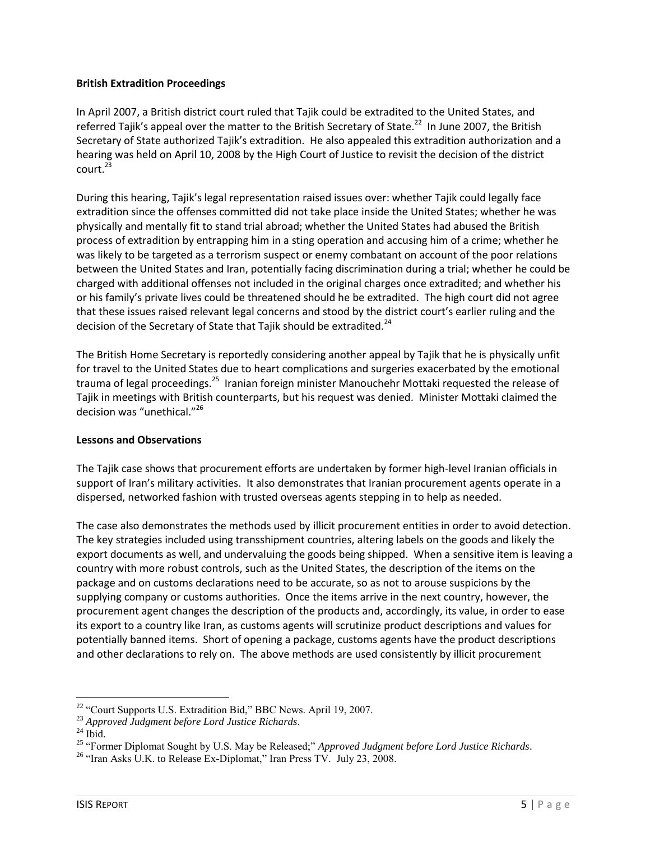# **British Extradition Proceedings**

In April 2007, a British district court ruled that Tajik could be extradited to the United States, and referred Tajik's appeal over the matter to the British Secretary of State.<sup>22</sup> In June 2007, the British Secretary of State authorized Tajik's extradition. He also appealed this extradition authorization and a hearing was held on April 10, 2008 by the High Court of Justice to revisit the decision of the district  $court.<sup>23</sup>$ 

During this hearing, Tajik's legal representation raised issues over: whether Tajik could legally face extradition since the offenses committed did not take place inside the United States; whether he was physically and mentally fit to stand trial abroad; whether the United States had abused the British process of extradition by entrapping him in a sting operation and accusing him of a crime; whether he was likely to be targeted as a terrorism suspect or enemy combatant on account of the poor relations between the United States and Iran, potentially facing discrimination during a trial; whether he could be charged with additional offenses not included in the original charges once extradited; and whether his or his family's private lives could be threatened should he be extradited. The high court did not agree that these issues raised relevant legal concerns and stood by the district court's earlier ruling and the decision of the Secretary of State that Tajik should be extradited.<sup>24</sup>

The British Home Secretary is reportedly considering another appeal by Tajik that he is physically unfit for travel to the United States due to heart complications and surgeries exacerbated by the emotional trauma of legal proceedings.<sup>25</sup> Iranian foreign minister Manouchehr Mottaki requested the release of Tajik in meetings with British counterparts, but his request was denied. Minister Mottaki claimed the decision was "unethical."<sup>26</sup>

## **Lessons and Observations**

The Tajik case shows that procurement efforts are undertaken by former high-level Iranian officials in support of Iran's military activities. It also demonstrates that Iranian procurement agents operate in a dispersed, networked fashion with trusted overseas agents stepping in to help as needed.

The case also demonstrates the methods used by illicit procurement entities in order to avoid detection. The key strategies included using transshipment countries, altering labels on the goods and likely the export documents as well, and undervaluing the goods being shipped. When a sensitive item is leaving a country with more robust controls, such as the United States, the description of the items on the package and on customs declarations need to be accurate, so as not to arouse suspicions by the supplying company or customs authorities. Once the items arrive in the next country, however, the procurement agent changes the description of the products and, accordingly, its value, in order to ease its export to a country like Iran, as customs agents will scrutinize product descriptions and values for potentially banned items. Short of opening a package, customs agents have the product descriptions and other declarations to rely on. The above methods are used consistently by illicit procurement

 $\overline{a}$ <sup>22</sup> "Court Supports U.S. Extradition Bid," BBC News. April 19, 2007.

<sup>23</sup> *Approved Judgment before Lord Justice Richards*.

 $24$  Ibid.

<sup>25</sup> "Former Diplomat Sought by U.S. May be Released;" *Approved Judgment before Lord Justice Richards*.

<sup>&</sup>lt;sup>26</sup> "Iran Asks U.K. to Release Ex-Diplomat," Iran Press TV. July 23, 2008.